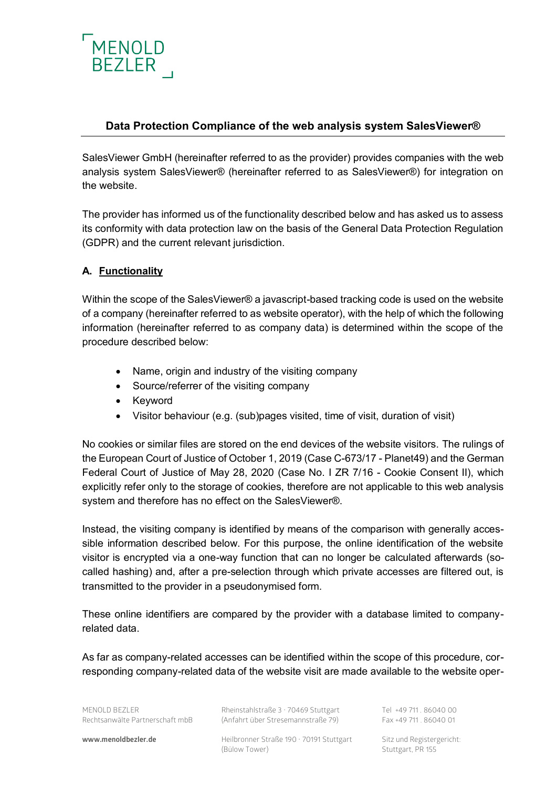

## **Data Protection Compliance of the web analysis system SalesViewer®**

SalesViewer GmbH (hereinafter referred to as the provider) provides companies with the web analysis system SalesViewer® (hereinafter referred to as SalesViewer®) for integration on the website.

The provider has informed us of the functionality described below and has asked us to assess its conformity with data protection law on the basis of the General Data Protection Regulation (GDPR) and the current relevant jurisdiction.

## **A. Functionality**

Within the scope of the SalesViewer® a javascript-based tracking code is used on the website of a company (hereinafter referred to as website operator), with the help of which the following information (hereinafter referred to as company data) is determined within the scope of the procedure described below:

- Name, origin and industry of the visiting company
- Source/referrer of the visiting company
- Keyword
- Visitor behaviour (e.g. (sub)pages visited, time of visit, duration of visit)

No cookies or similar files are stored on the end devices of the website visitors. The rulings of the European Court of Justice of October 1, 2019 (Case C-673/17 - Planet49) and the German Federal Court of Justice of May 28, 2020 (Case No. I ZR 7/16 - Cookie Consent II), which explicitly refer only to the storage of cookies, therefore are not applicable to this web analysis system and therefore has no effect on the SalesViewer®.

Instead, the visiting company is identified by means of the comparison with generally accessible information described below. For this purpose, the online identification of the website visitor is encrypted via a one-way function that can no longer be calculated afterwards (socalled hashing) and, after a pre-selection through which private accesses are filtered out, is transmitted to the provider in a pseudonymised form.

These online identifiers are compared by the provider with a database limited to companyrelated data.

As far as company-related accesses can be identified within the scope of this procedure, corresponding company-related data of the website visit are made available to the website oper-

MENOLD BEZLER Rheinstahlstraße 3 · 70469 Stuttgart Tel +49 711 . 86040 00 Rechtsanwälte Partnerschaft mbB (Anfahrt über Stresemannstraße 79) Fax +49 711 . 86040 01

www.menoldbezler.de **Heilbronner Straße 190 · 70191 Stuttgart** Sitz und Registergericht: (Bülow Tower) Stuttgart, PR 155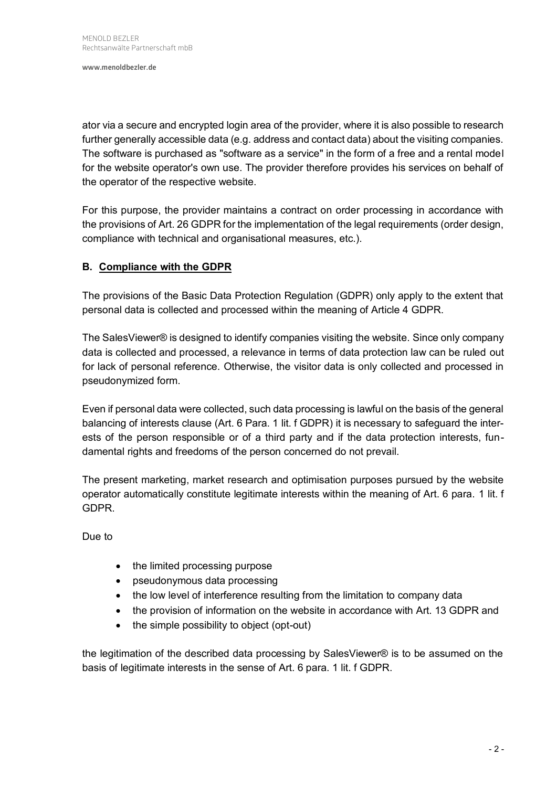**www.menoldbezler.de**

ator via a secure and encrypted login area of the provider, where it is also possible to research further generally accessible data (e.g. address and contact data) about the visiting companies. The software is purchased as "software as a service" in the form of a free and a rental model for the website operator's own use. The provider therefore provides his services on behalf of the operator of the respective website.

For this purpose, the provider maintains a contract on order processing in accordance with the provisions of Art. 26 GDPR for the implementation of the legal requirements (order design, compliance with technical and organisational measures, etc.).

## **B. Compliance with the GDPR**

The provisions of the Basic Data Protection Regulation (GDPR) only apply to the extent that personal data is collected and processed within the meaning of Article 4 GDPR.

The SalesViewer® is designed to identify companies visiting the website. Since only company data is collected and processed, a relevance in terms of data protection law can be ruled out for lack of personal reference. Otherwise, the visitor data is only collected and processed in pseudonymized form.

Even if personal data were collected, such data processing is lawful on the basis of the general balancing of interests clause (Art. 6 Para. 1 lit. f GDPR) it is necessary to safeguard the interests of the person responsible or of a third party and if the data protection interests, fundamental rights and freedoms of the person concerned do not prevail.

The present marketing, market research and optimisation purposes pursued by the website operator automatically constitute legitimate interests within the meaning of Art. 6 para. 1 lit. f GDPR.

Due to

- the limited processing purpose
- pseudonymous data processing
- the low level of interference resulting from the limitation to company data
- the provision of information on the website in accordance with Art. 13 GDPR and
- the simple possibility to object (opt-out)

the legitimation of the described data processing by SalesViewer® is to be assumed on the basis of legitimate interests in the sense of Art. 6 para. 1 lit. f GDPR.